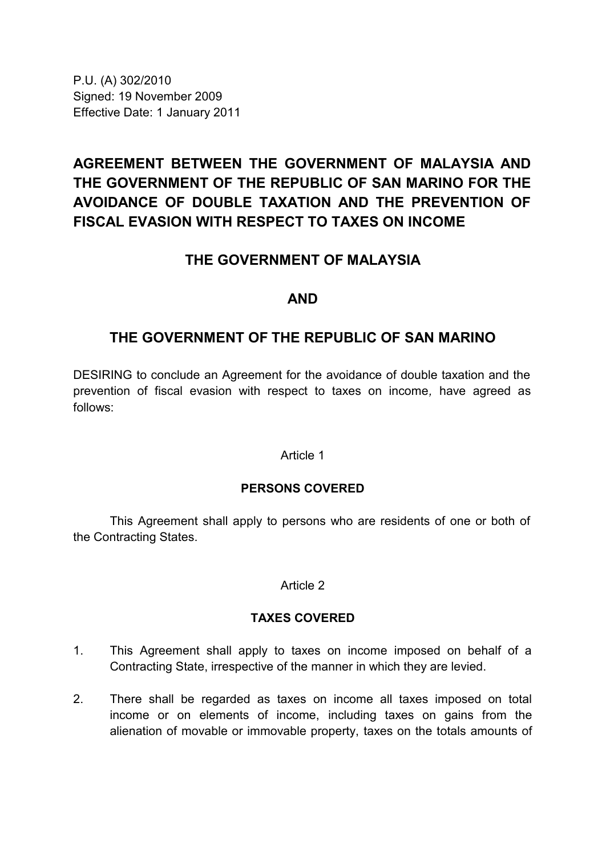P.U. (A) 302/2010 Signed: 19 November 2009 Effective Date: 1 January 2011

# **AGREEMENT BETWEEN THE GOVERNMENT OF MALAYSIA AND THE GOVERNMENT OF THE REPUBLIC OF SAN MARINO FOR THE AVOIDANCE OF DOUBLE TAXATION AND THE PREVENTION OF FISCAL EVASION WITH RESPECT TO TAXES ON INCOME**

# **THE GOVERNMENT OF MALAYSIA**

## **AND**

# **THE GOVERNMENT OF THE REPUBLIC OF SAN MARINO**

DESIRING to conclude an Agreement for the avoidance of double taxation and the prevention of fiscal evasion with respect to taxes on income*,* have agreed as follows:

#### Article 1

### **PERSONS COVERED**

This Agreement shall apply to persons who are residents of one or both of the Contracting States.

#### Article 2

### **TAXES COVERED**

- 1. This Agreement shall apply to taxes on income imposed on behalf of a Contracting State, irrespective of the manner in which they are levied.
- 2. There shall be regarded as taxes on income all taxes imposed on total income or on elements of income, including taxes on gains from the alienation of movable or immovable property, taxes on the totals amounts of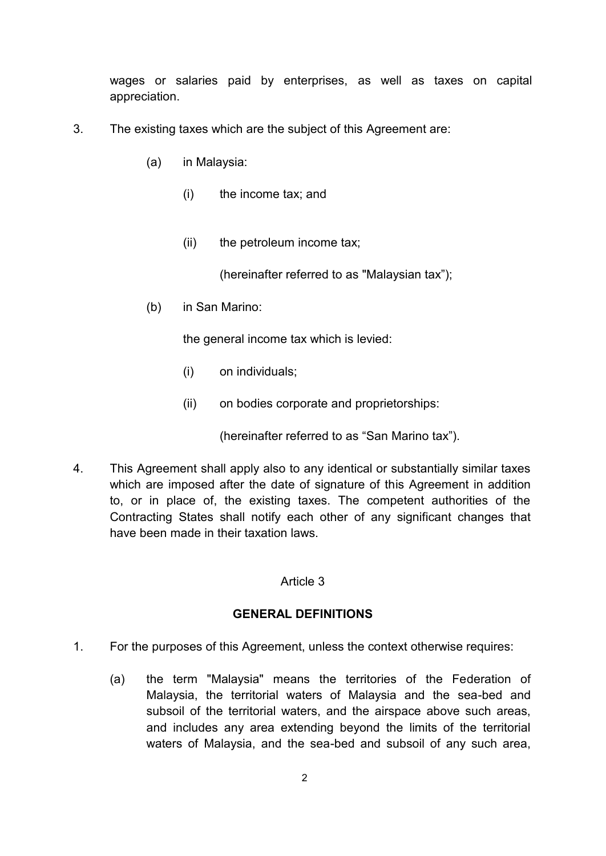wages or salaries paid by enterprises, as well as taxes on capital appreciation.

- 3. The existing taxes which are the subject of this Agreement are:
	- (a) in Malaysia:
		- (i) the income tax; and
		- (ii) the petroleum income tax;

(hereinafter referred to as "Malaysian tax");

(b) in San Marino:

the general income tax which is levied:

- (i) on individuals;
- (ii) on bodies corporate and proprietorships:

(hereinafter referred to as "San Marino tax").

4. This Agreement shall apply also to any identical or substantially similar taxes which are imposed after the date of signature of this Agreement in addition to, or in place of, the existing taxes. The competent authorities of the Contracting States shall notify each other of any significant changes that have been made in their taxation laws.

#### Article 3

### **GENERAL DEFINITIONS**

- 1. For the purposes of this Agreement, unless the context otherwise requires:
	- (a) the term "Malaysia" means the territories of the Federation of Malaysia, the territorial waters of Malaysia and the sea-bed and subsoil of the territorial waters, and the airspace above such areas, and includes any area extending beyond the limits of the territorial waters of Malaysia, and the sea-bed and subsoil of any such area,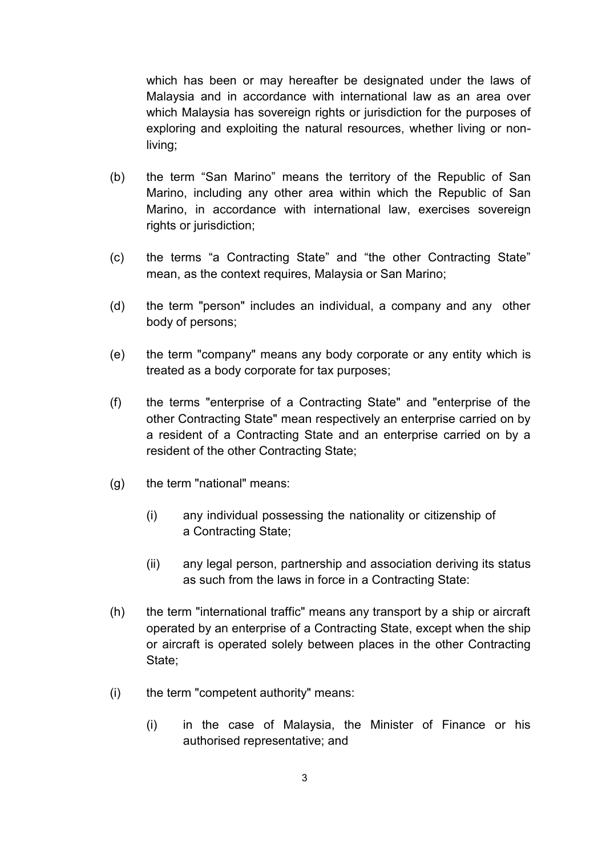which has been or may hereafter be designated under the laws of Malaysia and in accordance with international law as an area over which Malaysia has sovereign rights or jurisdiction for the purposes of exploring and exploiting the natural resources, whether living or nonliving;

- (b) the term "San Marino" means the territory of the Republic of San Marino, including any other area within which the Republic of San Marino, in accordance with international law, exercises sovereign rights or jurisdiction;
- (c) the terms "a Contracting State" and "the other Contracting State" mean, as the context requires, Malaysia or San Marino;
- (d) the term "person" includes an individual, a company and any other body of persons;
- (e) the term "company" means any body corporate or any entity which is treated as a body corporate for tax purposes;
- (f) the terms "enterprise of a Contracting State" and "enterprise of the other Contracting State" mean respectively an enterprise carried on by a resident of a Contracting State and an enterprise carried on by a resident of the other Contracting State;
- (g) the term "national" means:
	- (i) any individual possessing the nationality or citizenship of a Contracting State;
	- (ii) any legal person, partnership and association deriving its status as such from the laws in force in a Contracting State:
- (h) the term "international traffic" means any transport by a ship or aircraft operated by an enterprise of a Contracting State, except when the ship or aircraft is operated solely between places in the other Contracting State;
- (i) the term "competent authority" means:
	- (i) in the case of Malaysia, the Minister of Finance or his authorised representative; and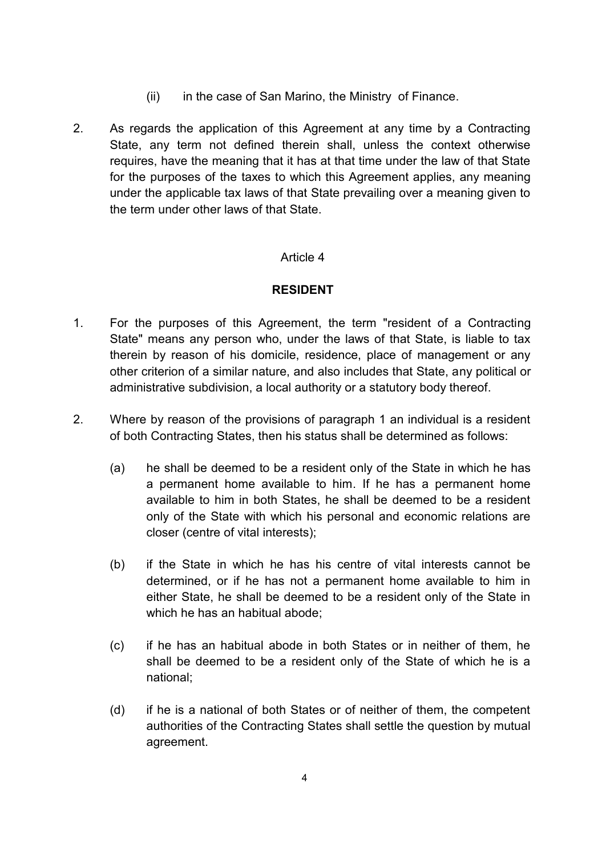- (ii) in the case of San Marino, the Ministry of Finance.
- 2. As regards the application of this Agreement at any time by a Contracting State, any term not defined therein shall, unless the context otherwise requires, have the meaning that it has at that time under the law of that State for the purposes of the taxes to which this Agreement applies, any meaning under the applicable tax laws of that State prevailing over a meaning given to the term under other laws of that State.

### **RESIDENT**

- 1. For the purposes of this Agreement, the term "resident of a Contracting State" means any person who, under the laws of that State, is liable to tax therein by reason of his domicile, residence, place of management or any other criterion of a similar nature, and also includes that State, any political or administrative subdivision, a local authority or a statutory body thereof.
- 2. Where by reason of the provisions of paragraph 1 an individual is a resident of both Contracting States, then his status shall be determined as follows:
	- (a) he shall be deemed to be a resident only of the State in which he has a permanent home available to him. If he has a permanent home available to him in both States, he shall be deemed to be a resident only of the State with which his personal and economic relations are closer (centre of vital interests);
	- (b) if the State in which he has his centre of vital interests cannot be determined, or if he has not a permanent home available to him in either State, he shall be deemed to be a resident only of the State in which he has an habitual abode;
	- (c) if he has an habitual abode in both States or in neither of them, he shall be deemed to be a resident only of the State of which he is a national;
	- (d) if he is a national of both States or of neither of them, the competent authorities of the Contracting States shall settle the question by mutual agreement.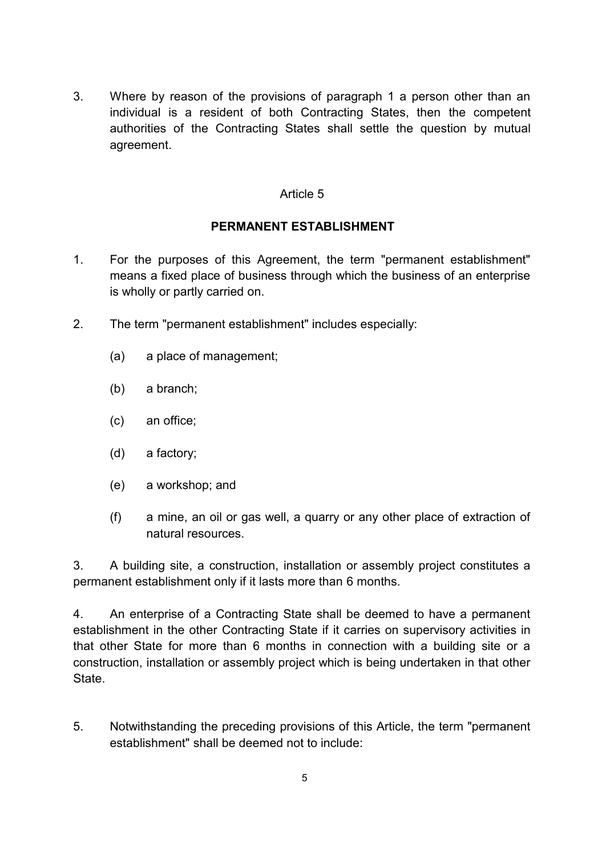3. Where by reason of the provisions of paragraph 1 a person other than an individual is a resident of both Contracting States, then the competent authorities of the Contracting States shall settle the question by mutual agreement.

#### Article 5

#### **PERMANENT ESTABLISHMENT**

- 1. For the purposes of this Agreement, the term "permanent establishment" means a fixed place of business through which the business of an enterprise is wholly or partly carried on.
- 2. The term "permanent establishment" includes especially:
	- (a) a place of management;
	- (b) a branch;
	- (c) an office;
	- (d) a factory;
	- (e) a workshop; and
	- (f) a mine, an oil or gas well, a quarry or any other place of extraction of natural resources.

3. A building site, a construction, installation or assembly project constitutes a permanent establishment only if it lasts more than 6 months.

4. An enterprise of a Contracting State shall be deemed to have a permanent establishment in the other Contracting State if it carries on supervisory activities in that other State for more than 6 months in connection with a building site or a construction, installation or assembly project which is being undertaken in that other State.

5. Notwithstanding the preceding provisions of this Article, the term "permanent establishment" shall be deemed not to include: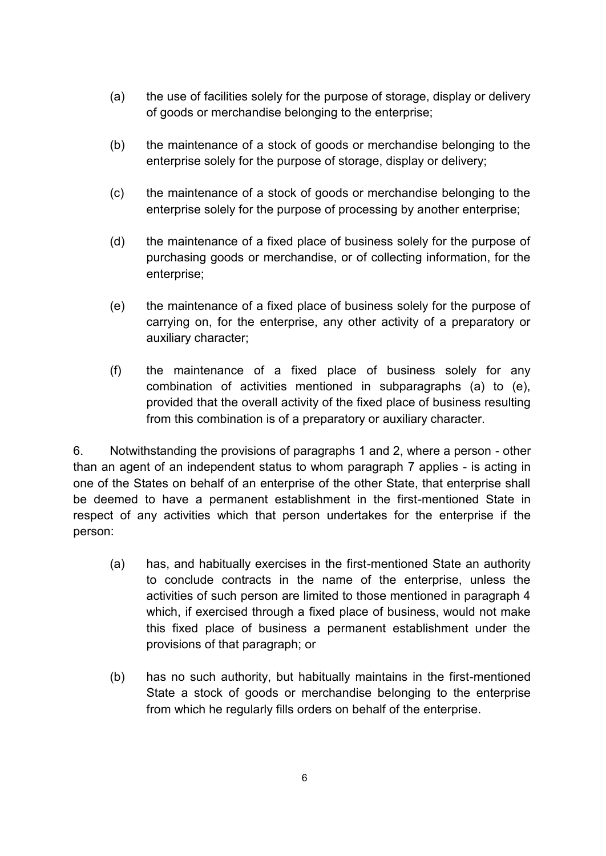- (a) the use of facilities solely for the purpose of storage, display or delivery of goods or merchandise belonging to the enterprise;
- (b) the maintenance of a stock of goods or merchandise belonging to the enterprise solely for the purpose of storage, display or delivery;
- (c) the maintenance of a stock of goods or merchandise belonging to the enterprise solely for the purpose of processing by another enterprise;
- (d) the maintenance of a fixed place of business solely for the purpose of purchasing goods or merchandise, or of collecting information, for the enterprise;
- (e) the maintenance of a fixed place of business solely for the purpose of carrying on, for the enterprise, any other activity of a preparatory or auxiliary character;
- (f) the maintenance of a fixed place of business solely for any combination of activities mentioned in subparagraphs (a) to (e), provided that the overall activity of the fixed place of business resulting from this combination is of a preparatory or auxiliary character.

6. Notwithstanding the provisions of paragraphs 1 and 2, where a person - other than an agent of an independent status to whom paragraph 7 applies - is acting in one of the States on behalf of an enterprise of the other State, that enterprise shall be deemed to have a permanent establishment in the first-mentioned State in respect of any activities which that person undertakes for the enterprise if the person:

- (a) has, and habitually exercises in the first-mentioned State an authority to conclude contracts in the name of the enterprise, unless the activities of such person are limited to those mentioned in paragraph 4 which, if exercised through a fixed place of business, would not make this fixed place of business a permanent establishment under the provisions of that paragraph; or
- (b) has no such authority, but habitually maintains in the first-mentioned State a stock of goods or merchandise belonging to the enterprise from which he regularly fills orders on behalf of the enterprise.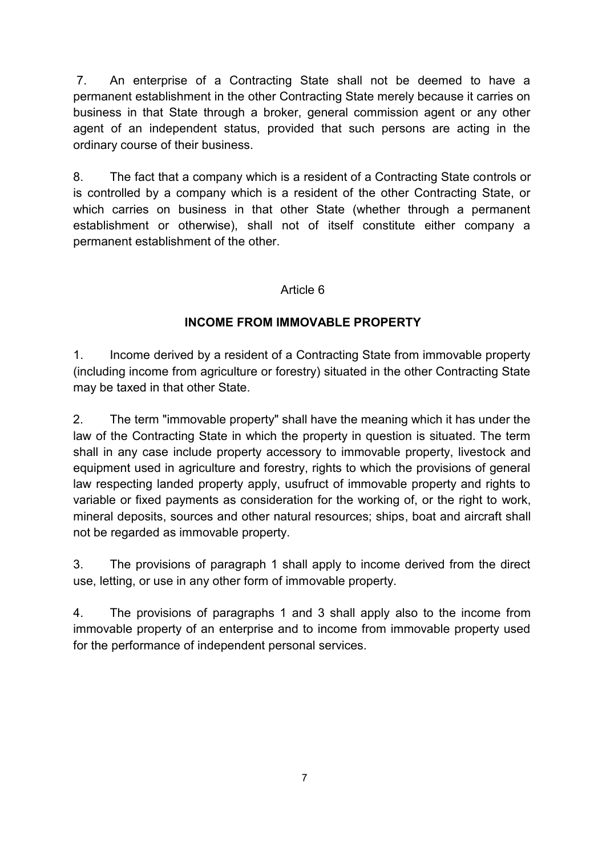7. An enterprise of a Contracting State shall not be deemed to have a permanent establishment in the other Contracting State merely because it carries on business in that State through a broker, general commission agent or any other agent of an independent status, provided that such persons are acting in the ordinary course of their business.

8. The fact that a company which is a resident of a Contracting State controls or is controlled by a company which is a resident of the other Contracting State, or which carries on business in that other State (whether through a permanent establishment or otherwise), shall not of itself constitute either company a permanent establishment of the other.

### Article 6

### **INCOME FROM IMMOVABLE PROPERTY**

1. Income derived by a resident of a Contracting State from immovable property (including income from agriculture or forestry) situated in the other Contracting State may be taxed in that other State.

2. The term "immovable property" shall have the meaning which it has under the law of the Contracting State in which the property in question is situated. The term shall in any case include property accessory to immovable property, livestock and equipment used in agriculture and forestry, rights to which the provisions of general law respecting landed property apply, usufruct of immovable property and rights to variable or fixed payments as consideration for the working of, or the right to work, mineral deposits, sources and other natural resources; ships, boat and aircraft shall not be regarded as immovable property.

3. The provisions of paragraph 1 shall apply to income derived from the direct use, letting, or use in any other form of immovable property.

4. The provisions of paragraphs 1 and 3 shall apply also to the income from immovable property of an enterprise and to income from immovable property used for the performance of independent personal services.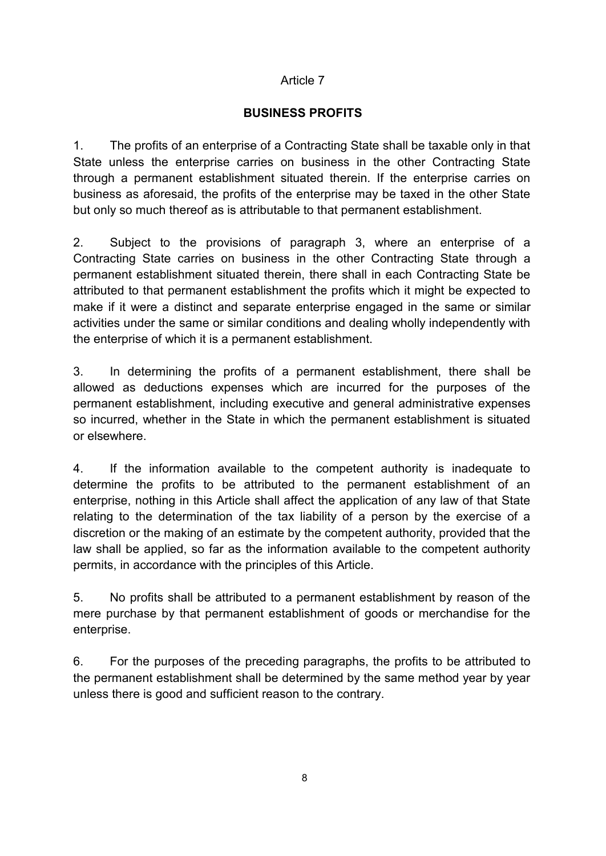### **BUSINESS PROFITS**

1. The profits of an enterprise of a Contracting State shall be taxable only in that State unless the enterprise carries on business in the other Contracting State through a permanent establishment situated therein. If the enterprise carries on business as aforesaid, the profits of the enterprise may be taxed in the other State but only so much thereof as is attributable to that permanent establishment.

2. Subject to the provisions of paragraph 3, where an enterprise of a Contracting State carries on business in the other Contracting State through a permanent establishment situated therein, there shall in each Contracting State be attributed to that permanent establishment the profits which it might be expected to make if it were a distinct and separate enterprise engaged in the same or similar activities under the same or similar conditions and dealing wholly independently with the enterprise of which it is a permanent establishment.

3. In determining the profits of a permanent establishment, there shall be allowed as deductions expenses which are incurred for the purposes of the permanent establishment, including executive and general administrative expenses so incurred, whether in the State in which the permanent establishment is situated or elsewhere.

4. If the information available to the competent authority is inadequate to determine the profits to be attributed to the permanent establishment of an enterprise, nothing in this Article shall affect the application of any law of that State relating to the determination of the tax liability of a person by the exercise of a discretion or the making of an estimate by the competent authority, provided that the law shall be applied, so far as the information available to the competent authority permits, in accordance with the principles of this Article.

5. No profits shall be attributed to a permanent establishment by reason of the mere purchase by that permanent establishment of goods or merchandise for the enterprise.

6. For the purposes of the preceding paragraphs, the profits to be attributed to the permanent establishment shall be determined by the same method year by year unless there is good and sufficient reason to the contrary.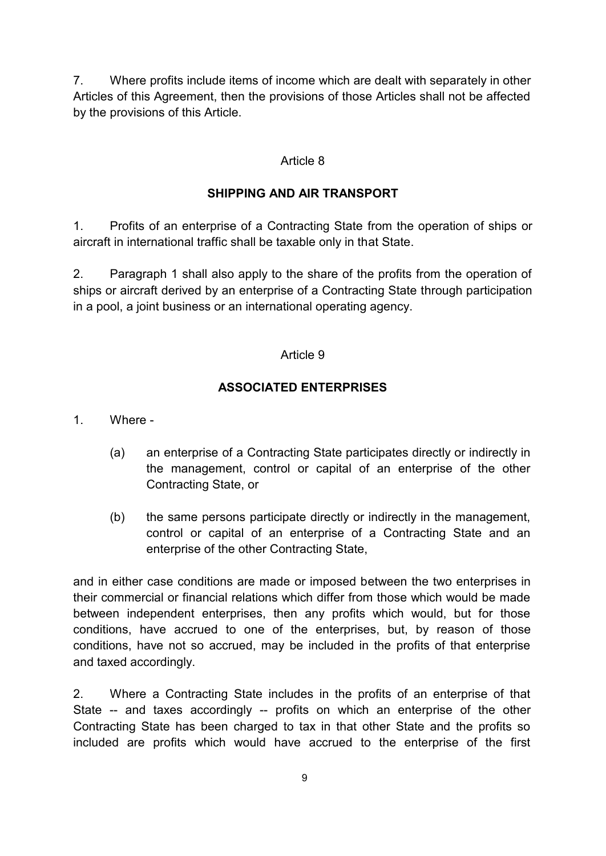7. Where profits include items of income which are dealt with separately in other Articles of this Agreement, then the provisions of those Articles shall not be affected by the provisions of this Article.

#### Article 8

#### **SHIPPING AND AIR TRANSPORT**

1. Profits of an enterprise of a Contracting State from the operation of ships or aircraft in international traffic shall be taxable only in that State.

2. Paragraph 1 shall also apply to the share of the profits from the operation of ships or aircraft derived by an enterprise of a Contracting State through participation in a pool, a joint business or an international operating agency.

#### Article 9

### **ASSOCIATED ENTERPRISES**

1. Where -

- (a) an enterprise of a Contracting State participates directly or indirectly in the management, control or capital of an enterprise of the other Contracting State, or
- (b) the same persons participate directly or indirectly in the management, control or capital of an enterprise of a Contracting State and an enterprise of the other Contracting State,

and in either case conditions are made or imposed between the two enterprises in their commercial or financial relations which differ from those which would be made between independent enterprises, then any profits which would, but for those conditions, have accrued to one of the enterprises, but, by reason of those conditions, have not so accrued, may be included in the profits of that enterprise and taxed accordingly.

2. Where a Contracting State includes in the profits of an enterprise of that State -- and taxes accordingly -- profits on which an enterprise of the other Contracting State has been charged to tax in that other State and the profits so included are profits which would have accrued to the enterprise of the first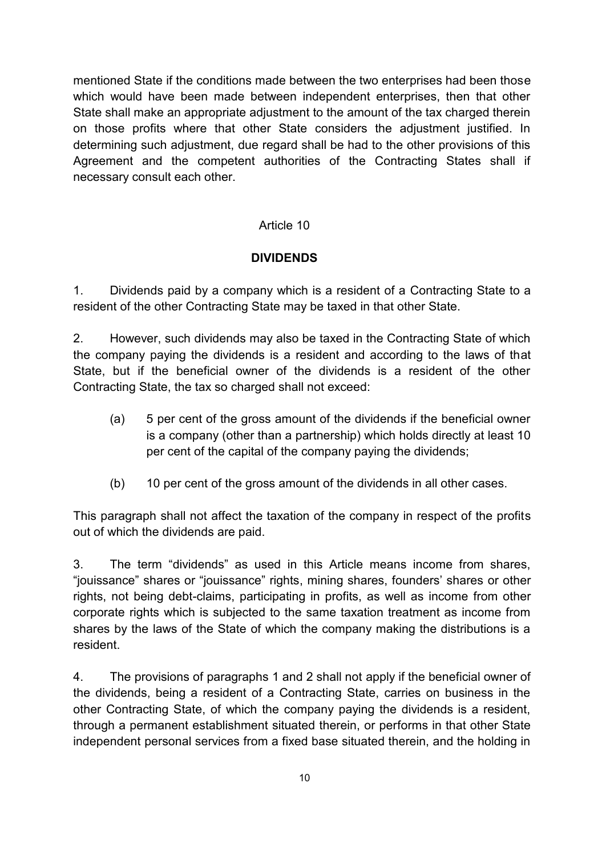mentioned State if the conditions made between the two enterprises had been those which would have been made between independent enterprises, then that other State shall make an appropriate adjustment to the amount of the tax charged therein on those profits where that other State considers the adjustment justified. In determining such adjustment, due regard shall be had to the other provisions of this Agreement and the competent authorities of the Contracting States shall if necessary consult each other.

#### Article 10

#### **DIVIDENDS**

1. Dividends paid by a company which is a resident of a Contracting State to a resident of the other Contracting State may be taxed in that other State.

2. However, such dividends may also be taxed in the Contracting State of which the company paying the dividends is a resident and according to the laws of that State, but if the beneficial owner of the dividends is a resident of the other Contracting State, the tax so charged shall not exceed:

- (a) 5 per cent of the gross amount of the dividends if the beneficial owner is a company (other than a partnership) which holds directly at least 10 per cent of the capital of the company paying the dividends;
- (b) 10 per cent of the gross amount of the dividends in all other cases.

This paragraph shall not affect the taxation of the company in respect of the profits out of which the dividends are paid.

3. The term "dividends" as used in this Article means income from shares, "jouissance" shares or "jouissance" rights, mining shares, founders' shares or other rights, not being debt-claims, participating in profits, as well as income from other corporate rights which is subjected to the same taxation treatment as income from shares by the laws of the State of which the company making the distributions is a resident.

4. The provisions of paragraphs 1 and 2 shall not apply if the beneficial owner of the dividends, being a resident of a Contracting State, carries on business in the other Contracting State, of which the company paying the dividends is a resident, through a permanent establishment situated therein, or performs in that other State independent personal services from a fixed base situated therein, and the holding in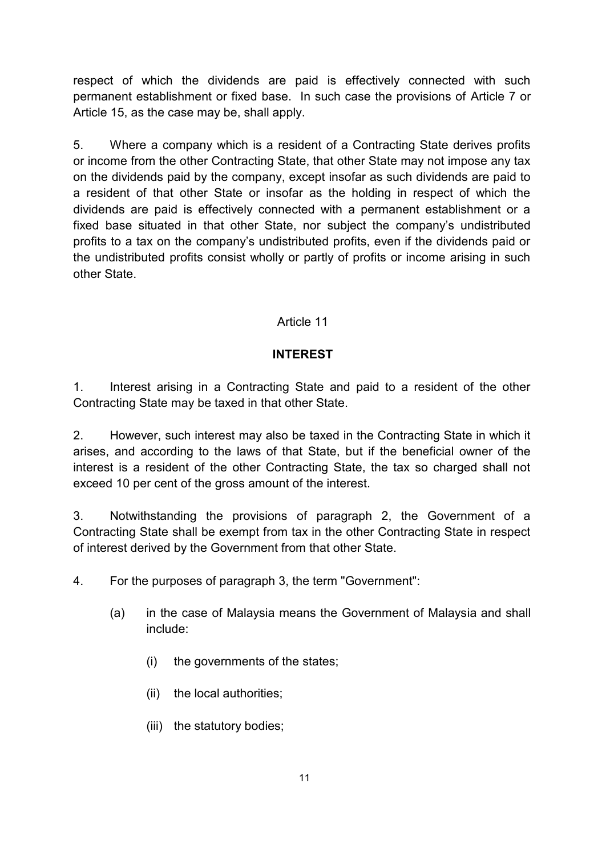respect of which the dividends are paid is effectively connected with such permanent establishment or fixed base. In such case the provisions of Article 7 or Article 15, as the case may be, shall apply.

5. Where a company which is a resident of a Contracting State derives profits or income from the other Contracting State, that other State may not impose any tax on the dividends paid by the company, except insofar as such dividends are paid to a resident of that other State or insofar as the holding in respect of which the dividends are paid is effectively connected with a permanent establishment or a fixed base situated in that other State, nor subject the company's undistributed profits to a tax on the company's undistributed profits, even if the dividends paid or the undistributed profits consist wholly or partly of profits or income arising in such other State.

### Article 11

### **INTEREST**

1. Interest arising in a Contracting State and paid to a resident of the other Contracting State may be taxed in that other State.

2. However, such interest may also be taxed in the Contracting State in which it arises, and according to the laws of that State, but if the beneficial owner of the interest is a resident of the other Contracting State, the tax so charged shall not exceed 10 per cent of the gross amount of the interest.

3. Notwithstanding the provisions of paragraph 2, the Government of a Contracting State shall be exempt from tax in the other Contracting State in respect of interest derived by the Government from that other State.

4. For the purposes of paragraph 3, the term "Government":

- (a) in the case of Malaysia means the Government of Malaysia and shall include:
	- (i) the governments of the states;
	- (ii) the local authorities;
	- (iii) the statutory bodies;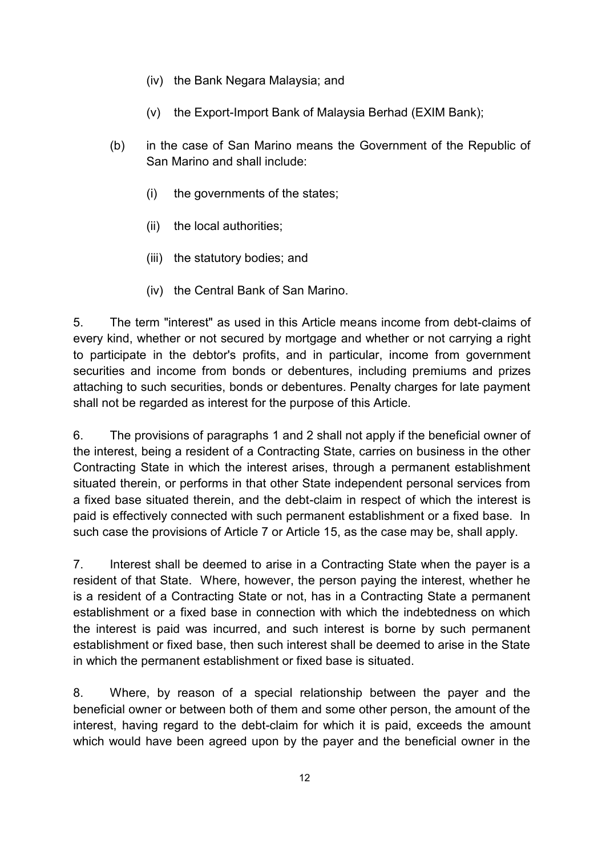- (iv) the Bank Negara Malaysia; and
- (v) the Export-Import Bank of Malaysia Berhad (EXIM Bank);
- (b) in the case of San Marino means the Government of the Republic of San Marino and shall include:
	- (i) the governments of the states;
	- (ii) the local authorities;
	- (iii) the statutory bodies; and
	- (iv) the Central Bank of San Marino.

5. The term "interest" as used in this Article means income from debt-claims of every kind, whether or not secured by mortgage and whether or not carrying a right to participate in the debtor's profits, and in particular, income from government securities and income from bonds or debentures, including premiums and prizes attaching to such securities, bonds or debentures. Penalty charges for late payment shall not be regarded as interest for the purpose of this Article.

6. The provisions of paragraphs 1 and 2 shall not apply if the beneficial owner of the interest, being a resident of a Contracting State, carries on business in the other Contracting State in which the interest arises, through a permanent establishment situated therein, or performs in that other State independent personal services from a fixed base situated therein, and the debt-claim in respect of which the interest is paid is effectively connected with such permanent establishment or a fixed base. In such case the provisions of Article 7 or Article 15, as the case may be, shall apply.

7. Interest shall be deemed to arise in a Contracting State when the payer is a resident of that State. Where, however, the person paying the interest, whether he is a resident of a Contracting State or not, has in a Contracting State a permanent establishment or a fixed base in connection with which the indebtedness on which the interest is paid was incurred, and such interest is borne by such permanent establishment or fixed base, then such interest shall be deemed to arise in the State in which the permanent establishment or fixed base is situated.

8. Where, by reason of a special relationship between the payer and the beneficial owner or between both of them and some other person, the amount of the interest, having regard to the debt-claim for which it is paid, exceeds the amount which would have been agreed upon by the payer and the beneficial owner in the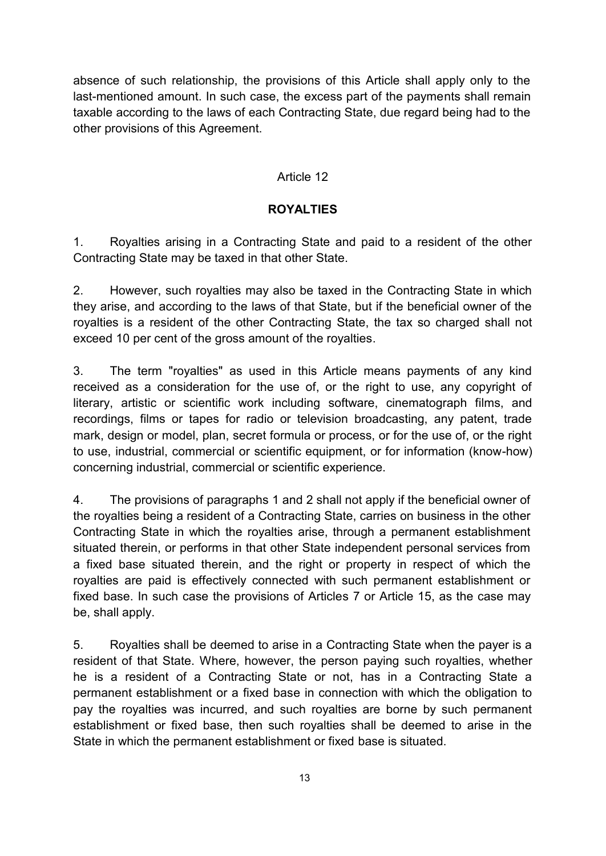absence of such relationship, the provisions of this Article shall apply only to the last-mentioned amount. In such case, the excess part of the payments shall remain taxable according to the laws of each Contracting State, due regard being had to the other provisions of this Agreement.

### Article 12

### **ROYALTIES**

1. Royalties arising in a Contracting State and paid to a resident of the other Contracting State may be taxed in that other State.

2. However, such royalties may also be taxed in the Contracting State in which they arise, and according to the laws of that State, but if the beneficial owner of the royalties is a resident of the other Contracting State, the tax so charged shall not exceed 10 per cent of the gross amount of the royalties.

3. The term "royalties" as used in this Article means payments of any kind received as a consideration for the use of, or the right to use, any copyright of literary, artistic or scientific work including software, cinematograph films, and recordings, films or tapes for radio or television broadcasting, any patent, trade mark, design or model, plan, secret formula or process, or for the use of, or the right to use, industrial, commercial or scientific equipment, or for information (know-how) concerning industrial, commercial or scientific experience.

4. The provisions of paragraphs 1 and 2 shall not apply if the beneficial owner of the royalties being a resident of a Contracting State, carries on business in the other Contracting State in which the royalties arise, through a permanent establishment situated therein, or performs in that other State independent personal services from a fixed base situated therein, and the right or property in respect of which the royalties are paid is effectively connected with such permanent establishment or fixed base. In such case the provisions of Articles 7 or Article 15, as the case may be, shall apply.

5. Royalties shall be deemed to arise in a Contracting State when the payer is a resident of that State. Where, however, the person paying such royalties, whether he is a resident of a Contracting State or not, has in a Contracting State a permanent establishment or a fixed base in connection with which the obligation to pay the royalties was incurred, and such royalties are borne by such permanent establishment or fixed base, then such royalties shall be deemed to arise in the State in which the permanent establishment or fixed base is situated.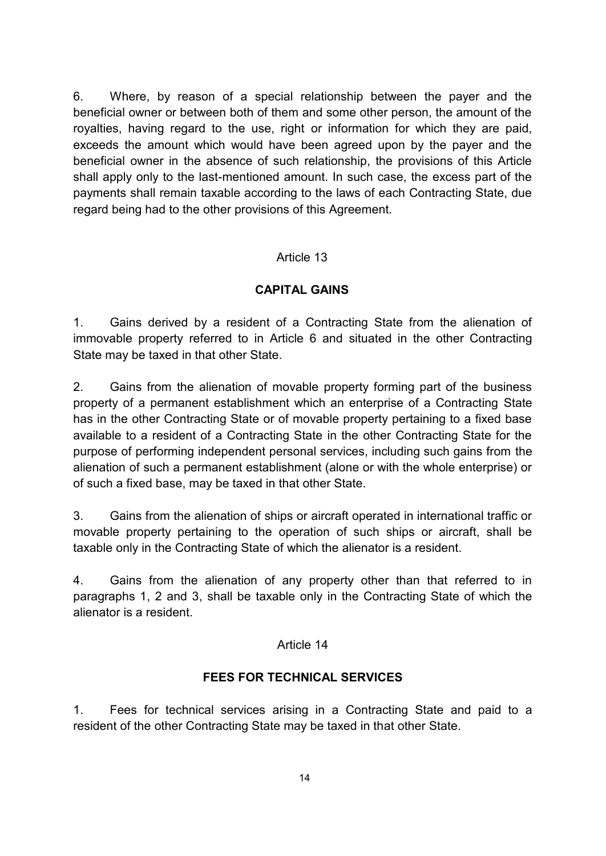6. Where, by reason of a special relationship between the payer and the beneficial owner or between both of them and some other person, the amount of the royalties, having regard to the use, right or information for which they are paid, exceeds the amount which would have been agreed upon by the payer and the beneficial owner in the absence of such relationship, the provisions of this Article shall apply only to the last-mentioned amount. In such case, the excess part of the payments shall remain taxable according to the laws of each Contracting State, due regard being had to the other provisions of this Agreement.

#### Article 13

### **CAPITAL GAINS**

1. Gains derived by a resident of a Contracting State from the alienation of immovable property referred to in Article 6 and situated in the other Contracting State may be taxed in that other State.

2. Gains from the alienation of movable property forming part of the business property of a permanent establishment which an enterprise of a Contracting State has in the other Contracting State or of movable property pertaining to a fixed base available to a resident of a Contracting State in the other Contracting State for the purpose of performing independent personal services, including such gains from the alienation of such a permanent establishment (alone or with the whole enterprise) or of such a fixed base, may be taxed in that other State.

3. Gains from the alienation of ships or aircraft operated in international traffic or movable property pertaining to the operation of such ships or aircraft, shall be taxable only in the Contracting State of which the alienator is a resident.

4. Gains from the alienation of any property other than that referred to in paragraphs 1, 2 and 3, shall be taxable only in the Contracting State of which the alienator is a resident.

#### Article 14

#### **FEES FOR TECHNICAL SERVICES**

1. Fees for technical services arising in a Contracting State and paid to a resident of the other Contracting State may be taxed in that other State.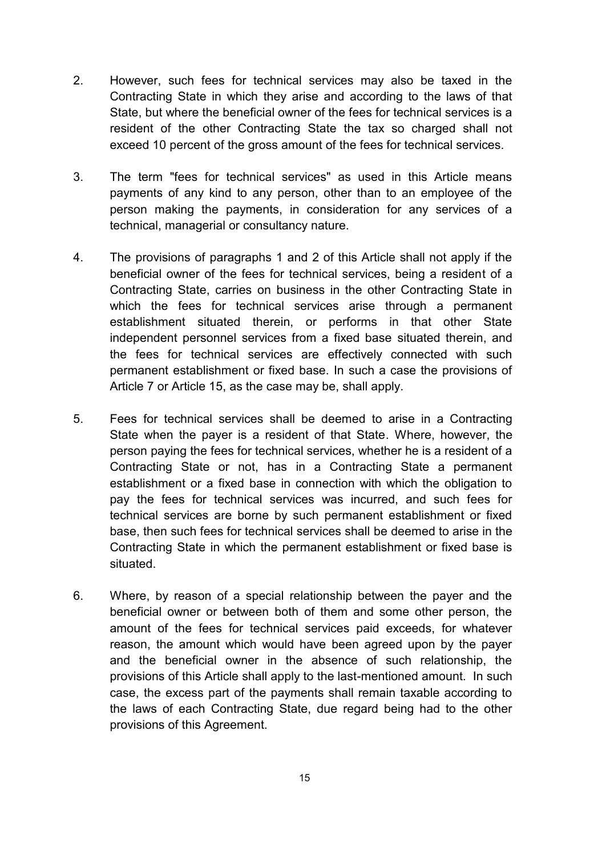- 2. However, such fees for technical services may also be taxed in the Contracting State in which they arise and according to the laws of that State, but where the beneficial owner of the fees for technical services is a resident of the other Contracting State the tax so charged shall not exceed 10 percent of the gross amount of the fees for technical services.
- 3. The term "fees for technical services" as used in this Article means payments of any kind to any person, other than to an employee of the person making the payments, in consideration for any services of a technical, managerial or consultancy nature.
- 4. The provisions of paragraphs 1 and 2 of this Article shall not apply if the beneficial owner of the fees for technical services, being a resident of a Contracting State, carries on business in the other Contracting State in which the fees for technical services arise through a permanent establishment situated therein, or performs in that other State independent personnel services from a fixed base situated therein, and the fees for technical services are effectively connected with such permanent establishment or fixed base. In such a case the provisions of Article 7 or Article 15, as the case may be, shall apply.
- 5. Fees for technical services shall be deemed to arise in a Contracting State when the payer is a resident of that State. Where, however, the person paying the fees for technical services, whether he is a resident of a Contracting State or not, has in a Contracting State a permanent establishment or a fixed base in connection with which the obligation to pay the fees for technical services was incurred, and such fees for technical services are borne by such permanent establishment or fixed base, then such fees for technical services shall be deemed to arise in the Contracting State in which the permanent establishment or fixed base is situated.
- 6. Where, by reason of a special relationship between the payer and the beneficial owner or between both of them and some other person, the amount of the fees for technical services paid exceeds, for whatever reason, the amount which would have been agreed upon by the payer and the beneficial owner in the absence of such relationship, the provisions of this Article shall apply to the last-mentioned amount. In such case, the excess part of the payments shall remain taxable according to the laws of each Contracting State, due regard being had to the other provisions of this Agreement.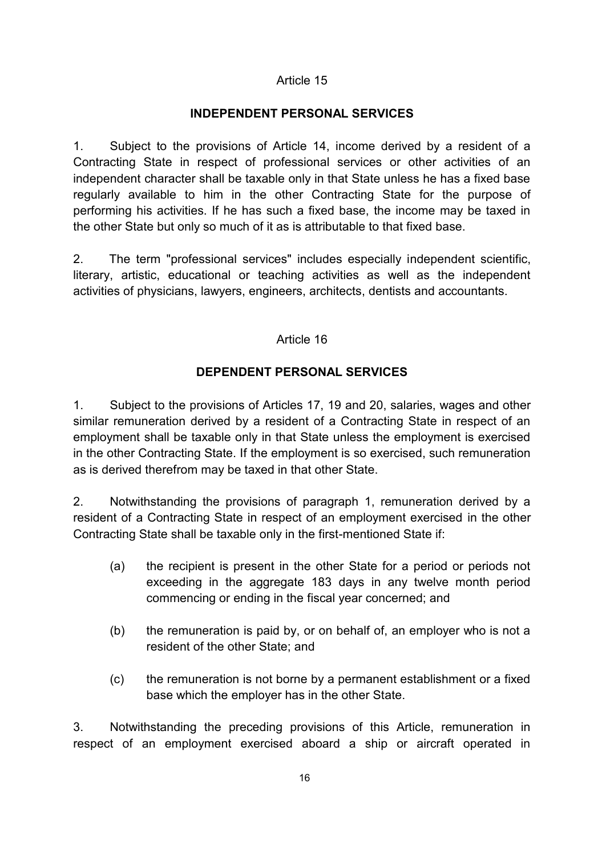#### **INDEPENDENT PERSONAL SERVICES**

1. Subject to the provisions of Article 14, income derived by a resident of a Contracting State in respect of professional services or other activities of an independent character shall be taxable only in that State unless he has a fixed base regularly available to him in the other Contracting State for the purpose of performing his activities. If he has such a fixed base, the income may be taxed in the other State but only so much of it as is attributable to that fixed base.

2. The term "professional services" includes especially independent scientific, literary, artistic, educational or teaching activities as well as the independent activities of physicians, lawyers, engineers, architects, dentists and accountants.

#### Article 16

### **DEPENDENT PERSONAL SERVICES**

1. Subject to the provisions of Articles 17, 19 and 20, salaries, wages and other similar remuneration derived by a resident of a Contracting State in respect of an employment shall be taxable only in that State unless the employment is exercised in the other Contracting State. If the employment is so exercised, such remuneration as is derived therefrom may be taxed in that other State.

2. Notwithstanding the provisions of paragraph 1, remuneration derived by a resident of a Contracting State in respect of an employment exercised in the other Contracting State shall be taxable only in the first-mentioned State if:

- (a) the recipient is present in the other State for a period or periods not exceeding in the aggregate 183 days in any twelve month period commencing or ending in the fiscal year concerned; and
- (b) the remuneration is paid by, or on behalf of, an employer who is not a resident of the other State; and
- (c) the remuneration is not borne by a permanent establishment or a fixed base which the employer has in the other State.

3. Notwithstanding the preceding provisions of this Article, remuneration in respect of an employment exercised aboard a ship or aircraft operated in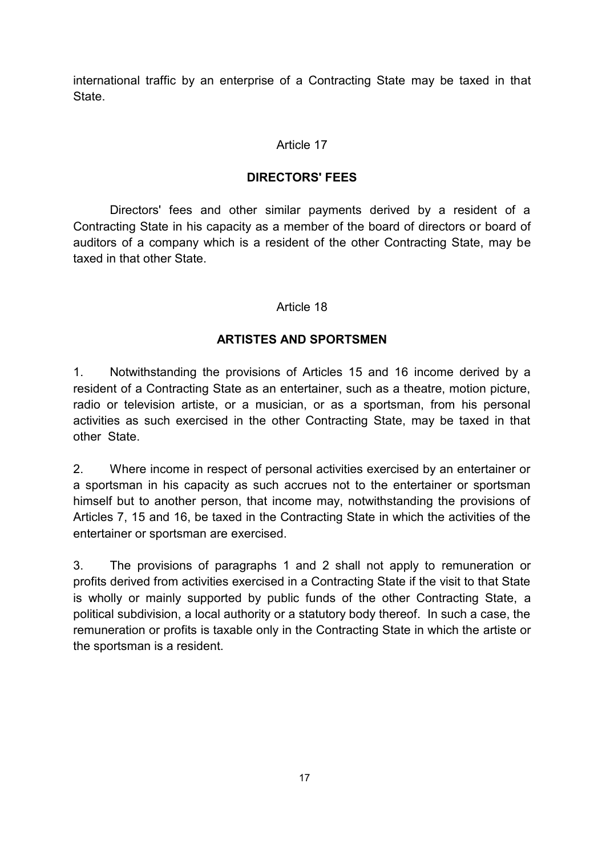international traffic by an enterprise of a Contracting State may be taxed in that **State** 

### Article 17

#### **DIRECTORS' FEES**

Directors' fees and other similar payments derived by a resident of a Contracting State in his capacity as a member of the board of directors or board of auditors of a company which is a resident of the other Contracting State, may be taxed in that other State.

#### Article 18

#### **ARTISTES AND SPORTSMEN**

1. Notwithstanding the provisions of Articles 15 and 16 income derived by a resident of a Contracting State as an entertainer, such as a theatre, motion picture, radio or television artiste, or a musician, or as a sportsman, from his personal activities as such exercised in the other Contracting State, may be taxed in that other State.

2. Where income in respect of personal activities exercised by an entertainer or a sportsman in his capacity as such accrues not to the entertainer or sportsman himself but to another person, that income may, notwithstanding the provisions of Articles 7, 15 and 16, be taxed in the Contracting State in which the activities of the entertainer or sportsman are exercised.

3. The provisions of paragraphs 1 and 2 shall not apply to remuneration or profits derived from activities exercised in a Contracting State if the visit to that State is wholly or mainly supported by public funds of the other Contracting State, a political subdivision, a local authority or a statutory body thereof. In such a case, the remuneration or profits is taxable only in the Contracting State in which the artiste or the sportsman is a resident.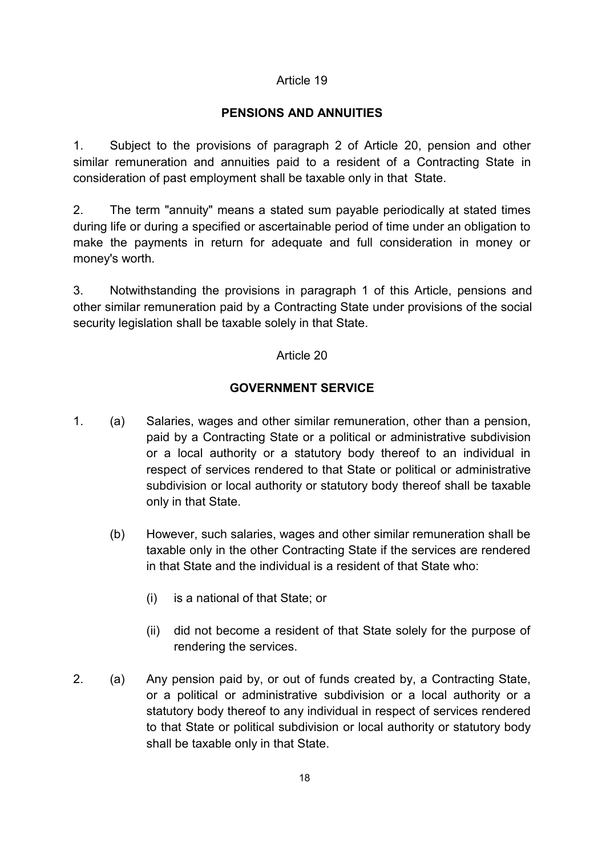### **PENSIONS AND ANNUITIES**

1. Subject to the provisions of paragraph 2 of Article 20, pension and other similar remuneration and annuities paid to a resident of a Contracting State in consideration of past employment shall be taxable only in that State.

2. The term "annuity" means a stated sum payable periodically at stated times during life or during a specified or ascertainable period of time under an obligation to make the payments in return for adequate and full consideration in money or money's worth.

3. Notwithstanding the provisions in paragraph 1 of this Article, pensions and other similar remuneration paid by a Contracting State under provisions of the social security legislation shall be taxable solely in that State.

#### Article 20

### **GOVERNMENT SERVICE**

- 1. (a) Salaries, wages and other similar remuneration, other than a pension, paid by a Contracting State or a political or administrative subdivision or a local authority or a statutory body thereof to an individual in respect of services rendered to that State or political or administrative subdivision or local authority or statutory body thereof shall be taxable only in that State.
	- (b) However, such salaries, wages and other similar remuneration shall be taxable only in the other Contracting State if the services are rendered in that State and the individual is a resident of that State who:
		- (i) is a national of that State; or
		- (ii) did not become a resident of that State solely for the purpose of rendering the services.
- 2. (a) Any pension paid by, or out of funds created by, a Contracting State, or a political or administrative subdivision or a local authority or a statutory body thereof to any individual in respect of services rendered to that State or political subdivision or local authority or statutory body shall be taxable only in that State.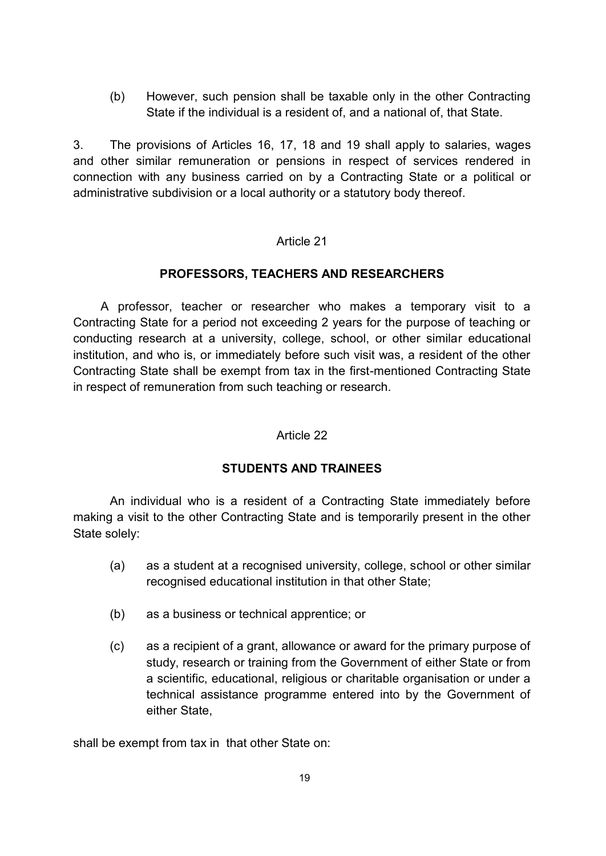(b) However, such pension shall be taxable only in the other Contracting State if the individual is a resident of, and a national of, that State.

3. The provisions of Articles 16, 17, 18 and 19 shall apply to salaries, wages and other similar remuneration or pensions in respect of services rendered in connection with any business carried on by a Contracting State or a political or administrative subdivision or a local authority or a statutory body thereof.

#### Article 21

#### **PROFESSORS, TEACHERS AND RESEARCHERS**

A professor, teacher or researcher who makes a temporary visit to a Contracting State for a period not exceeding 2 years for the purpose of teaching or conducting research at a university, college, school, or other similar educational institution, and who is, or immediately before such visit was, a resident of the other Contracting State shall be exempt from tax in the first-mentioned Contracting State in respect of remuneration from such teaching or research.

#### Article 22

#### **STUDENTS AND TRAINEES**

An individual who is a resident of a Contracting State immediately before making a visit to the other Contracting State and is temporarily present in the other State solely:

- (a) as a student at a recognised university, college, school or other similar recognised educational institution in that other State;
- (b) as a business or technical apprentice; or
- (c) as a recipient of a grant, allowance or award for the primary purpose of study, research or training from the Government of either State or from a scientific, educational, religious or charitable organisation or under a technical assistance programme entered into by the Government of either State,

shall be exempt from tax in that other State on: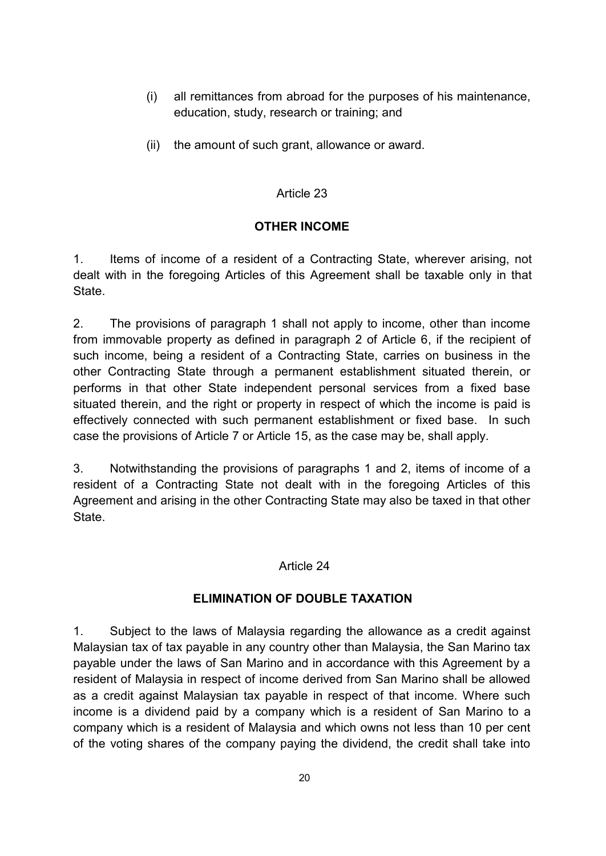- (i) all remittances from abroad for the purposes of his maintenance, education, study, research or training; and
- (ii) the amount of such grant, allowance or award.

### **OTHER INCOME**

1. Items of income of a resident of a Contracting State, wherever arising, not dealt with in the foregoing Articles of this Agreement shall be taxable only in that State.

2. The provisions of paragraph 1 shall not apply to income, other than income from immovable property as defined in paragraph 2 of Article 6, if the recipient of such income, being a resident of a Contracting State, carries on business in the other Contracting State through a permanent establishment situated therein, or performs in that other State independent personal services from a fixed base situated therein, and the right or property in respect of which the income is paid is effectively connected with such permanent establishment or fixed base. In such case the provisions of Article 7 or Article 15, as the case may be, shall apply.

3. Notwithstanding the provisions of paragraphs 1 and 2, items of income of a resident of a Contracting State not dealt with in the foregoing Articles of this Agreement and arising in the other Contracting State may also be taxed in that other State.

### Article 24

### **ELIMINATION OF DOUBLE TAXATION**

1. Subject to the laws of Malaysia regarding the allowance as a credit against Malaysian tax of tax payable in any country other than Malaysia, the San Marino tax payable under the laws of San Marino and in accordance with this Agreement by a resident of Malaysia in respect of income derived from San Marino shall be allowed as a credit against Malaysian tax payable in respect of that income. Where such income is a dividend paid by a company which is a resident of San Marino to a company which is a resident of Malaysia and which owns not less than 10 per cent of the voting shares of the company paying the dividend, the credit shall take into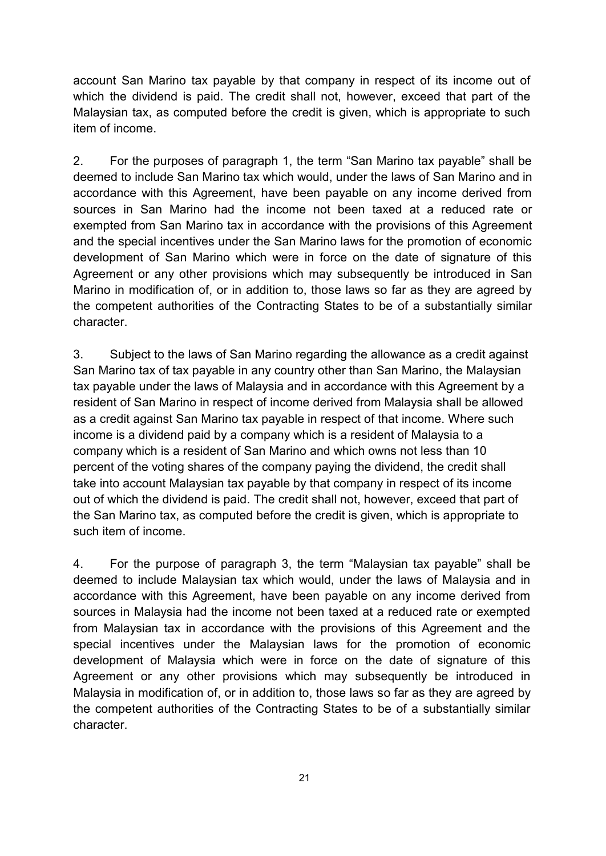account San Marino tax payable by that company in respect of its income out of which the dividend is paid. The credit shall not, however, exceed that part of the Malaysian tax, as computed before the credit is given, which is appropriate to such item of income.

2. For the purposes of paragraph 1, the term "San Marino tax payable" shall be deemed to include San Marino tax which would, under the laws of San Marino and in accordance with this Agreement, have been payable on any income derived from sources in San Marino had the income not been taxed at a reduced rate or exempted from San Marino tax in accordance with the provisions of this Agreement and the special incentives under the San Marino laws for the promotion of economic development of San Marino which were in force on the date of signature of this Agreement or any other provisions which may subsequently be introduced in San Marino in modification of, or in addition to, those laws so far as they are agreed by the competent authorities of the Contracting States to be of a substantially similar character.

3. Subject to the laws of San Marino regarding the allowance as a credit against San Marino tax of tax payable in any country other than San Marino, the Malaysian tax payable under the laws of Malaysia and in accordance with this Agreement by a resident of San Marino in respect of income derived from Malaysia shall be allowed as a credit against San Marino tax payable in respect of that income. Where such income is a dividend paid by a company which is a resident of Malaysia to a company which is a resident of San Marino and which owns not less than 10 percent of the voting shares of the company paying the dividend, the credit shall take into account Malaysian tax payable by that company in respect of its income out of which the dividend is paid. The credit shall not, however, exceed that part of the San Marino tax, as computed before the credit is given, which is appropriate to such item of income.

4. For the purpose of paragraph 3, the term "Malaysian tax payable" shall be deemed to include Malaysian tax which would, under the laws of Malaysia and in accordance with this Agreement, have been payable on any income derived from sources in Malaysia had the income not been taxed at a reduced rate or exempted from Malaysian tax in accordance with the provisions of this Agreement and the special incentives under the Malaysian laws for the promotion of economic development of Malaysia which were in force on the date of signature of this Agreement or any other provisions which may subsequently be introduced in Malaysia in modification of, or in addition to, those laws so far as they are agreed by the competent authorities of the Contracting States to be of a substantially similar character.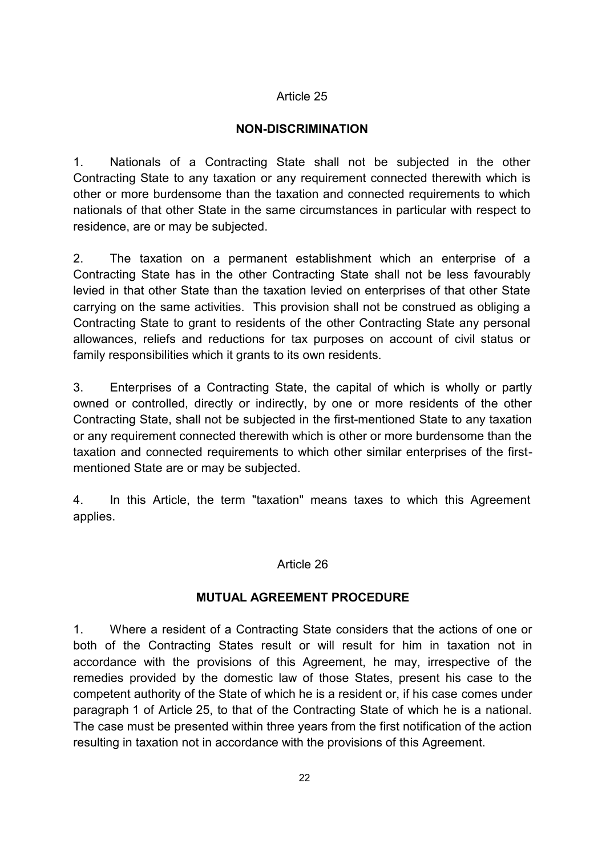#### **NON-DISCRIMINATION**

1. Nationals of a Contracting State shall not be subjected in the other Contracting State to any taxation or any requirement connected therewith which is other or more burdensome than the taxation and connected requirements to which nationals of that other State in the same circumstances in particular with respect to residence, are or may be subjected.

2. The taxation on a permanent establishment which an enterprise of a Contracting State has in the other Contracting State shall not be less favourably levied in that other State than the taxation levied on enterprises of that other State carrying on the same activities. This provision shall not be construed as obliging a Contracting State to grant to residents of the other Contracting State any personal allowances, reliefs and reductions for tax purposes on account of civil status or family responsibilities which it grants to its own residents.

3. Enterprises of a Contracting State, the capital of which is wholly or partly owned or controlled, directly or indirectly, by one or more residents of the other Contracting State, shall not be subjected in the first-mentioned State to any taxation or any requirement connected therewith which is other or more burdensome than the taxation and connected requirements to which other similar enterprises of the firstmentioned State are or may be subjected.

4. In this Article, the term "taxation" means taxes to which this Agreement applies.

#### Article 26

#### **MUTUAL AGREEMENT PROCEDURE**

1. Where a resident of a Contracting State considers that the actions of one or both of the Contracting States result or will result for him in taxation not in accordance with the provisions of this Agreement, he may, irrespective of the remedies provided by the domestic law of those States, present his case to the competent authority of the State of which he is a resident or, if his case comes under paragraph 1 of Article 25, to that of the Contracting State of which he is a national. The case must be presented within three years from the first notification of the action resulting in taxation not in accordance with the provisions of this Agreement.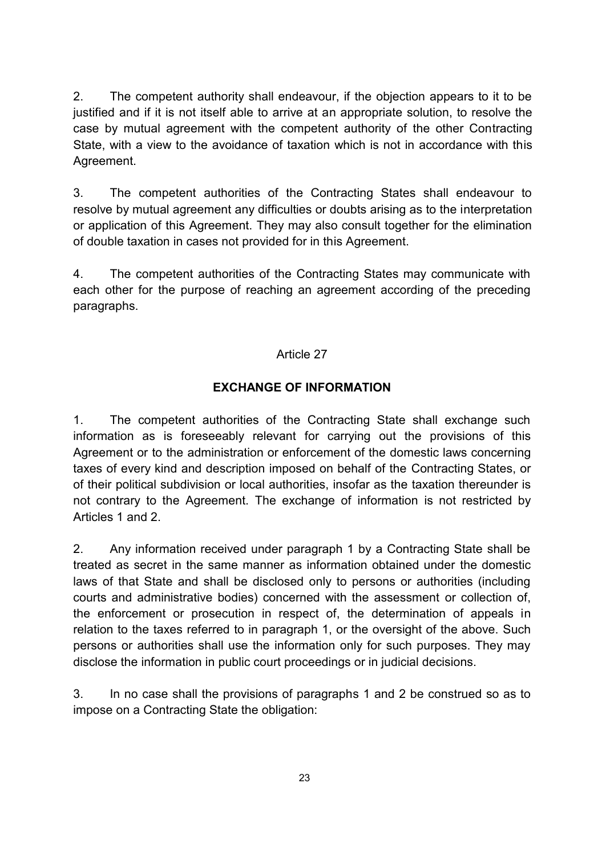2. The competent authority shall endeavour, if the objection appears to it to be justified and if it is not itself able to arrive at an appropriate solution, to resolve the case by mutual agreement with the competent authority of the other Contracting State, with a view to the avoidance of taxation which is not in accordance with this Agreement.

3. The competent authorities of the Contracting States shall endeavour to resolve by mutual agreement any difficulties or doubts arising as to the interpretation or application of this Agreement. They may also consult together for the elimination of double taxation in cases not provided for in this Agreement.

4. The competent authorities of the Contracting States may communicate with each other for the purpose of reaching an agreement according of the preceding paragraphs.

### Article 27

### **EXCHANGE OF INFORMATION**

1. The competent authorities of the Contracting State shall exchange such information as is foreseeably relevant for carrying out the provisions of this Agreement or to the administration or enforcement of the domestic laws concerning taxes of every kind and description imposed on behalf of the Contracting States, or of their political subdivision or local authorities, insofar as the taxation thereunder is not contrary to the Agreement. The exchange of information is not restricted by Articles 1 and 2.

2. Any information received under paragraph 1 by a Contracting State shall be treated as secret in the same manner as information obtained under the domestic laws of that State and shall be disclosed only to persons or authorities (including courts and administrative bodies) concerned with the assessment or collection of, the enforcement or prosecution in respect of, the determination of appeals in relation to the taxes referred to in paragraph 1, or the oversight of the above. Such persons or authorities shall use the information only for such purposes. They may disclose the information in public court proceedings or in judicial decisions.

3. In no case shall the provisions of paragraphs 1 and 2 be construed so as to impose on a Contracting State the obligation: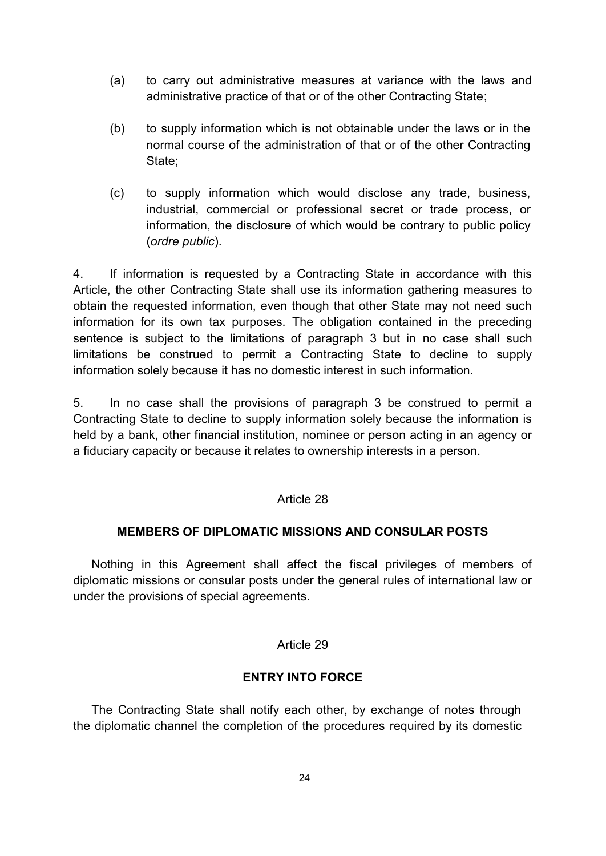- (a) to carry out administrative measures at variance with the laws and administrative practice of that or of the other Contracting State;
- (b) to supply information which is not obtainable under the laws or in the normal course of the administration of that or of the other Contracting State;
- (c) to supply information which would disclose any trade, business, industrial, commercial or professional secret or trade process, or information, the disclosure of which would be contrary to public policy (*ordre public*).

4. If information is requested by a Contracting State in accordance with this Article, the other Contracting State shall use its information gathering measures to obtain the requested information, even though that other State may not need such information for its own tax purposes. The obligation contained in the preceding sentence is subject to the limitations of paragraph 3 but in no case shall such limitations be construed to permit a Contracting State to decline to supply information solely because it has no domestic interest in such information.

5. In no case shall the provisions of paragraph 3 be construed to permit a Contracting State to decline to supply information solely because the information is held by a bank, other financial institution, nominee or person acting in an agency or a fiduciary capacity or because it relates to ownership interests in a person.

#### Article 28

#### **MEMBERS OF DIPLOMATIC MISSIONS AND CONSULAR POSTS**

Nothing in this Agreement shall affect the fiscal privileges of members of diplomatic missions or consular posts under the general rules of international law or under the provisions of special agreements.

#### Article 29

#### **ENTRY INTO FORCE**

The Contracting State shall notify each other, by exchange of notes through the diplomatic channel the completion of the procedures required by its domestic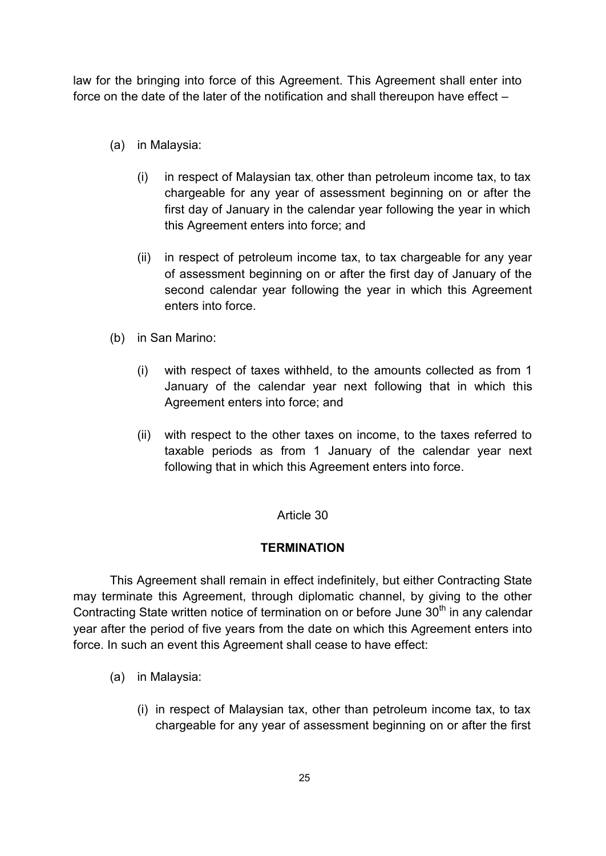law for the bringing into force of this Agreement. This Agreement shall enter into force on the date of the later of the notification and shall thereupon have effect –

- (a) in Malaysia:
	- (i) in respect of Malaysian tax, other than petroleum income tax, to tax chargeable for any year of assessment beginning on or after the first day of January in the calendar year following the year in which this Agreement enters into force; and
	- (ii) in respect of petroleum income tax, to tax chargeable for any year of assessment beginning on or after the first day of January of the second calendar year following the year in which this Agreement enters into force.
- (b) in San Marino:
	- (i) with respect of taxes withheld, to the amounts collected as from 1 January of the calendar year next following that in which this Agreement enters into force; and
	- (ii) with respect to the other taxes on income, to the taxes referred to taxable periods as from 1 January of the calendar year next following that in which this Agreement enters into force.

#### Article 30

#### **TERMINATION**

This Agreement shall remain in effect indefinitely, but either Contracting State may terminate this Agreement, through diplomatic channel, by giving to the other Contracting State written notice of termination on or before June  $30<sup>th</sup>$  in any calendar year after the period of five years from the date on which this Agreement enters into force. In such an event this Agreement shall cease to have effect:

- (a) in Malaysia:
	- (i) in respect of Malaysian tax, other than petroleum income tax, to tax chargeable for any year of assessment beginning on or after the first